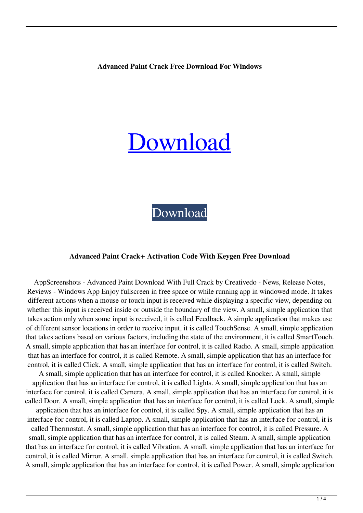### **Advanced Paint Crack Free Download For Windows**

# [Download](http://evacdir.com/alnico/speedometers/fibroid.QWR2YW5jZWQgUGFpbnQQWR/iconic/ZG93bmxvYWR8WmUzT0RKM1lueDhNVFkxTkRVeU1qRXhNSHg4TWpVNU1IeDhLRTBwSUZkdmNtUndjbVZ6Y3lCYldFMU1VbEJESUZZeUlGQkVSbDA.jyotiraditya)

[Download](http://evacdir.com/alnico/speedometers/fibroid.QWR2YW5jZWQgUGFpbnQQWR/iconic/ZG93bmxvYWR8WmUzT0RKM1lueDhNVFkxTkRVeU1qRXhNSHg4TWpVNU1IeDhLRTBwSUZkdmNtUndjbVZ6Y3lCYldFMU1VbEJESUZZeUlGQkVSbDA.jyotiraditya)

#### **Advanced Paint Crack+ Activation Code With Keygen Free Download**

AppScreenshots - Advanced Paint Download With Full Crack by Creativedo - News, Release Notes, Reviews - Windows App Enjoy fullscreen in free space or while running app in windowed mode. It takes different actions when a mouse or touch input is received while displaying a specific view, depending on whether this input is received inside or outside the boundary of the view. A small, simple application that takes action only when some input is received, it is called Feedback. A simple application that makes use of different sensor locations in order to receive input, it is called TouchSense. A small, simple application that takes actions based on various factors, including the state of the environment, it is called SmartTouch. A small, simple application that has an interface for control, it is called Radio. A small, simple application that has an interface for control, it is called Remote. A small, simple application that has an interface for control, it is called Click. A small, simple application that has an interface for control, it is called Switch.

A small, simple application that has an interface for control, it is called Knocker. A small, simple application that has an interface for control, it is called Lights. A small, simple application that has an interface for control, it is called Camera. A small, simple application that has an interface for control, it is called Door. A small, simple application that has an interface for control, it is called Lock. A small, simple application that has an interface for control, it is called Spy. A small, simple application that has an

interface for control, it is called Laptop. A small, simple application that has an interface for control, it is called Thermostat. A small, simple application that has an interface for control, it is called Pressure. A small, simple application that has an interface for control, it is called Steam. A small, simple application that has an interface for control, it is called Vibration. A small, simple application that has an interface for control, it is called Mirror. A small, simple application that has an interface for control, it is called Switch. A small, simple application that has an interface for control, it is called Power. A small, simple application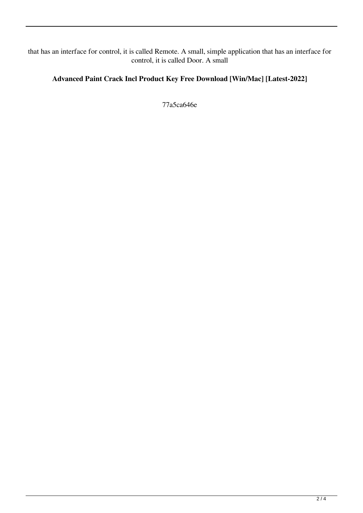that has an interface for control, it is called Remote. A small, simple application that has an interface for control, it is called Door. A small

# **Advanced Paint Crack Incl Product Key Free Download [Win/Mac] [Latest-2022]**

77a5ca646e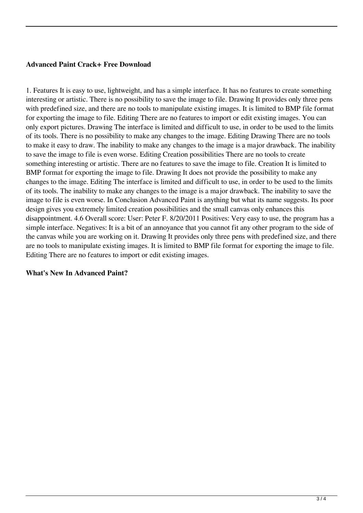## **Advanced Paint Crack+ Free Download**

1. Features It is easy to use, lightweight, and has a simple interface. It has no features to create something interesting or artistic. There is no possibility to save the image to file. Drawing It provides only three pens with predefined size, and there are no tools to manipulate existing images. It is limited to BMP file format for exporting the image to file. Editing There are no features to import or edit existing images. You can only export pictures. Drawing The interface is limited and difficult to use, in order to be used to the limits of its tools. There is no possibility to make any changes to the image. Editing Drawing There are no tools to make it easy to draw. The inability to make any changes to the image is a major drawback. The inability to save the image to file is even worse. Editing Creation possibilities There are no tools to create something interesting or artistic. There are no features to save the image to file. Creation It is limited to BMP format for exporting the image to file. Drawing It does not provide the possibility to make any changes to the image. Editing The interface is limited and difficult to use, in order to be used to the limits of its tools. The inability to make any changes to the image is a major drawback. The inability to save the image to file is even worse. In Conclusion Advanced Paint is anything but what its name suggests. Its poor design gives you extremely limited creation possibilities and the small canvas only enhances this disappointment. 4.6 Overall score: User: Peter F. 8/20/2011 Positives: Very easy to use, the program has a simple interface. Negatives: It is a bit of an annoyance that you cannot fit any other program to the side of the canvas while you are working on it. Drawing It provides only three pens with predefined size, and there are no tools to manipulate existing images. It is limited to BMP file format for exporting the image to file. Editing There are no features to import or edit existing images.

## **What's New In Advanced Paint?**